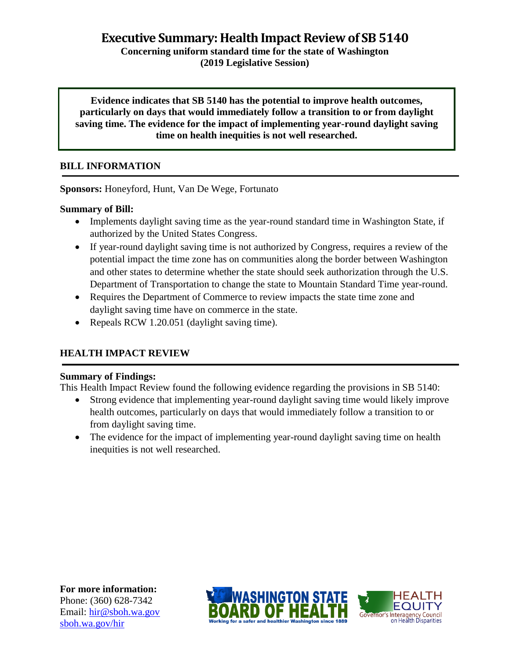**Executive Summary: Health Impact Review of SB 5140**

**Concerning uniform standard time for the state of Washington (2019 Legislative Session)**

**Evidence indicates that SB 5140 has the potential to improve health outcomes, particularly on days that would immediately follow a transition to or from daylight saving time. The evidence for the impact of implementing year-round daylight saving time on health inequities is not well researched.**

# **BILL INFORMATION**

**Sponsors:** Honeyford, Hunt, Van De Wege, Fortunato

# **Summary of Bill:**

- Implements daylight saving time as the year-round standard time in Washington State, if authorized by the United States Congress.
- If year-round daylight saving time is not authorized by Congress, requires a review of the potential impact the time zone has on communities along the border between Washington and other states to determine whether the state should seek authorization through the U.S. Department of Transportation to change the state to Mountain Standard Time year-round.
- Requires the Department of Commerce to review impacts the state time zone and daylight saving time have on commerce in the state.
- Repeals RCW 1.20.051 (daylight saving time).

# **HEALTH IMPACT REVIEW**

## **Summary of Findings:**

This Health Impact Review found the following evidence regarding the provisions in SB 5140:

- Strong evidence that implementing year-round daylight saving time would likely improve health outcomes, particularly on days that would immediately follow a transition to or from daylight saving time.
- The evidence for the impact of implementing year-round daylight saving time on health inequities is not well researched.

**For more information:** Phone: (360) 628-7342 Email: [hir@sboh.wa.gov](mailto:hir@sboh.wa.gov) [sboh.wa.gov/](http://sboh.wa.gov/)hir



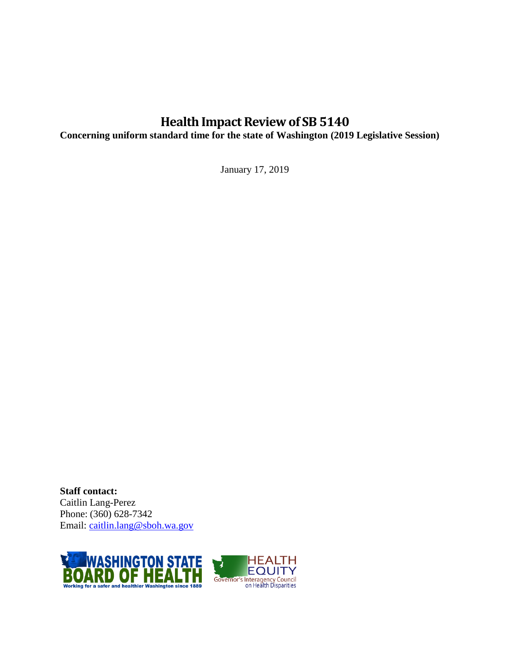# **Health Impact Review of SB 5140**

**Concerning uniform standard time for the state of Washington (2019 Legislative Session)**

January 17, 2019

**Staff contact:** Caitlin Lang-Perez Phone: (360) 628-7342 Email: [caitlin.lang@sboh.wa.gov](mailto:caitlin.lang@sboh.wa.gov)

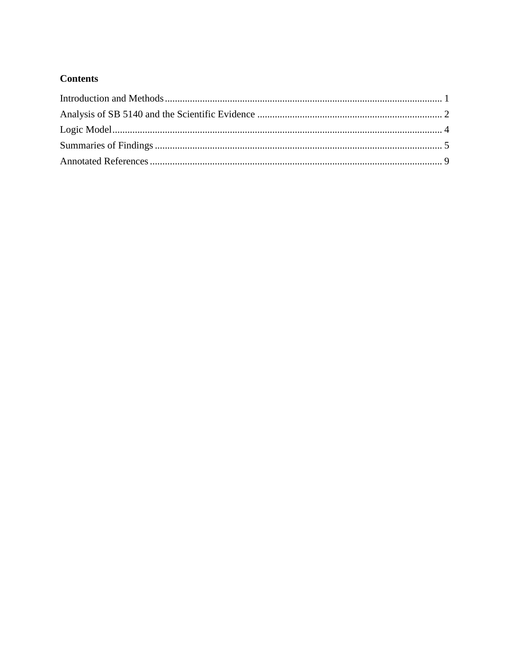# **Contents**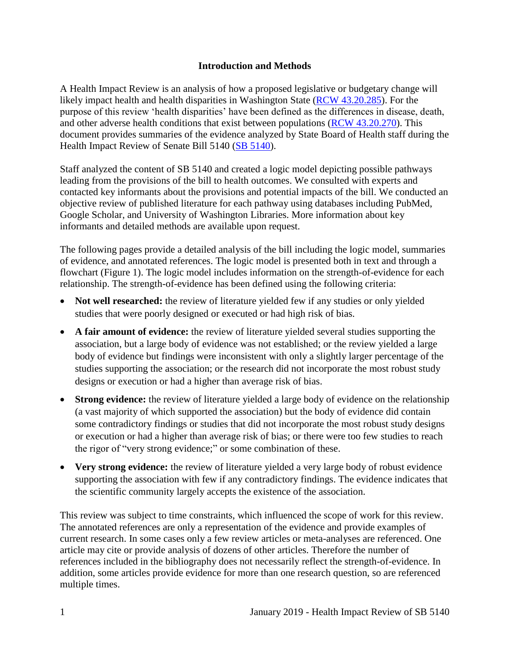#### **Introduction and Methods**

<span id="page-3-0"></span>A Health Impact Review is an analysis of how a proposed legislative or budgetary change will likely impact health and health disparities in Washington State [\(RCW 43.20.285\)](http://apps.leg.wa.gov/rcw/default.aspx?cite=43.20.285). For the purpose of this review 'health disparities' have been defined as the differences in disease, death, and other adverse health conditions that exist between populations [\(RCW 43.20.270\)](http://apps.leg.wa.gov/rcw/default.aspx?cite=43.20.270). This document provides summaries of the evidence analyzed by State Board of Health staff during the Health Impact Review of Senate Bill 5140 (SB [5140\)](https://app.leg.wa.gov/billsummary?BillNumber=5140&Year=2019&Initiative=false).

Staff analyzed the content of SB 5140 and created a logic model depicting possible pathways leading from the provisions of the bill to health outcomes. We consulted with experts and contacted key informants about the provisions and potential impacts of the bill. We conducted an objective review of published literature for each pathway using databases including PubMed, Google Scholar, and University of Washington Libraries. More information about key informants and detailed methods are available upon request.

The following pages provide a detailed analysis of the bill including the logic model, summaries of evidence, and annotated references. The logic model is presented both in text and through a flowchart (Figure 1). The logic model includes information on the strength-of-evidence for each relationship. The strength-of-evidence has been defined using the following criteria:

- Not well researched: the review of literature yielded few if any studies or only yielded studies that were poorly designed or executed or had high risk of bias.
- **A fair amount of evidence:** the review of literature yielded several studies supporting the association, but a large body of evidence was not established; or the review yielded a large body of evidence but findings were inconsistent with only a slightly larger percentage of the studies supporting the association; or the research did not incorporate the most robust study designs or execution or had a higher than average risk of bias.
- **Strong evidence:** the review of literature yielded a large body of evidence on the relationship (a vast majority of which supported the association) but the body of evidence did contain some contradictory findings or studies that did not incorporate the most robust study designs or execution or had a higher than average risk of bias; or there were too few studies to reach the rigor of "very strong evidence;" or some combination of these.
- **Very strong evidence:** the review of literature yielded a very large body of robust evidence supporting the association with few if any contradictory findings. The evidence indicates that the scientific community largely accepts the existence of the association.

This review was subject to time constraints, which influenced the scope of work for this review. The annotated references are only a representation of the evidence and provide examples of current research. In some cases only a few review articles or meta-analyses are referenced. One article may cite or provide analysis of dozens of other articles. Therefore the number of references included in the bibliography does not necessarily reflect the strength-of-evidence. In addition, some articles provide evidence for more than one research question, so are referenced multiple times.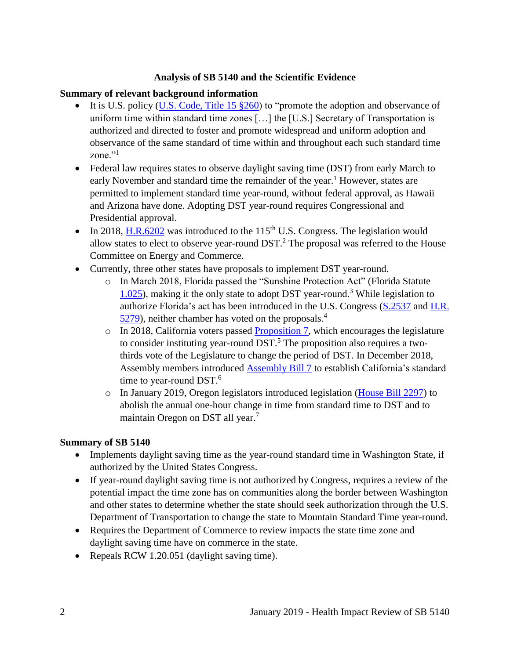## **Analysis of SB 5140 and the Scientific Evidence**

#### <span id="page-4-0"></span>**Summary of relevant background information**

- It is U.S. policy (U.S. Code, [Title 15 §260\)](https://www.govinfo.gov/content/pkg/USCODE-2011-title15/html/USCODE-2011-title15-chap6-subchapIX.htm) to "promote the adoption and observance of uniform time within standard time zones […] the [U.S.] Secretary of Transportation is authorized and directed to foster and promote widespread and uniform adoption and observance of the same standard of time within and throughout each such standard time zone."<sup>1</sup>
- Federal law requires states to observe daylight saving time (DST) from early March to early November and standard time the remainder of the year.<sup>1</sup> However, states are permitted to implement standard time year-round, without federal approval, as Hawaii and Arizona have done. Adopting DST year-round requires Congressional and Presidential approval.
- In 2018, [H.R.6202](https://www.congress.gov/bill/115th-congress/house-bill/6202/text) was introduced to the 115<sup>th</sup> U.S. Congress. The legislation would allow states to elect to observe year-round  $DST<sup>2</sup>$ . The proposal was referred to the House Committee on Energy and Commerce.
- Currently, three other states have proposals to implement DST year-round.
	- o In March 2018, Florida passed the "Sunshine Protection Act" (Florida Statute [1.025\)](http://www.leg.state.fl.us/statutes/index.cfm?mode=View%20Statutes&SubMenu=1&App_mode=Display_Statute&Search_String=1.025&URL=0000-0099/0001/Sections/0001.025.html), making it the only state to adopt DST year-round.<sup>3</sup> While legislation to authorize Florida's act has been introduced in the U.S. Congress [\(S.2537](https://www.congress.gov/bill/115th-congress/senate-bill/2537/text) and [H.R.](https://www.congress.gov/bill/115th-congress/house-bill/5279)  [5279\)](https://www.congress.gov/bill/115th-congress/house-bill/5279), neither chamber has voted on the proposals.<sup>4</sup>
	- $\circ$  In 2018, California voters passed [Proposition 7,](http://www.voterguide.sos.ca.gov/propositions/7/) which encourages the legislature to consider instituting year-round  $DST$ .<sup>5</sup> The proposition also requires a twothirds vote of the Legislature to change the period of DST. In December 2018, Assembly members introduced [Assembly Bill](http://leginfo.legislature.ca.gov/faces/billTextClient.xhtml?bill_id=201920200AB7&search_keywords=daylight+saving+time) 7 to establish California's standard time to year-round DST.<sup>6</sup>
	- o In January 2019, Oregon legislators introduced legislation [\(House Bill 2297\)](https://olis.leg.state.or.us/liz/2019R1/Measures/Overview/HB2297) to abolish the annual one-hour change in time from standard time to DST and to maintain Oregon on DST all year. 7

#### **Summary of SB 5140**

- Implements daylight saving time as the year-round standard time in Washington State, if authorized by the United States Congress.
- If year-round daylight saving time is not authorized by Congress, requires a review of the potential impact the time zone has on communities along the border between Washington and other states to determine whether the state should seek authorization through the U.S. Department of Transportation to change the state to Mountain Standard Time year-round.
- Requires the Department of Commerce to review impacts the state time zone and daylight saving time have on commerce in the state.
- Repeals RCW 1.20.051 (daylight saving time).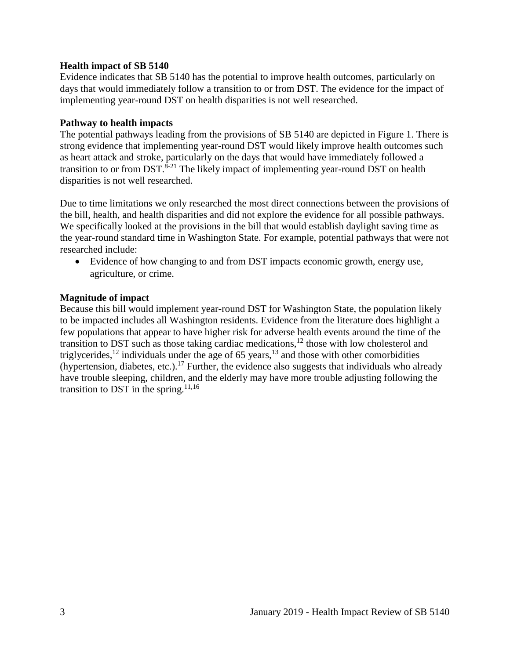#### **Health impact of SB 5140**

Evidence indicates that SB 5140 has the potential to improve health outcomes, particularly on days that would immediately follow a transition to or from DST. The evidence for the impact of implementing year-round DST on health disparities is not well researched.

#### **Pathway to health impacts**

The potential pathways leading from the provisions of SB 5140 are depicted in Figure 1. There is strong evidence that implementing year-round DST would likely improve health outcomes such as heart attack and stroke, particularly on the days that would have immediately followed a transition to or from DST.<sup>8-21</sup> The likely impact of implementing year-round DST on health disparities is not well researched.

Due to time limitations we only researched the most direct connections between the provisions of the bill, health, and health disparities and did not explore the evidence for all possible pathways. We specifically looked at the provisions in the bill that would establish daylight saving time as the year-round standard time in Washington State. For example, potential pathways that were not researched include:

 Evidence of how changing to and from DST impacts economic growth, energy use, agriculture, or crime.

#### **Magnitude of impact**

Because this bill would implement year-round DST for Washington State, the population likely to be impacted includes all Washington residents. Evidence from the literature does highlight a few populations that appear to have higher risk for adverse health events around the time of the transition to DST such as those taking cardiac medications,<sup>12</sup> those with low cholesterol and triglycerides,<sup>12</sup> individuals under the age of 65 years,<sup>13</sup> and those with other comorbidities (hypertension, diabetes, etc.).<sup>17</sup> Further, the evidence also suggests that individuals who already have trouble sleeping, children, and the elderly may have more trouble adjusting following the transition to DST in the spring. $11,16$  $11,16$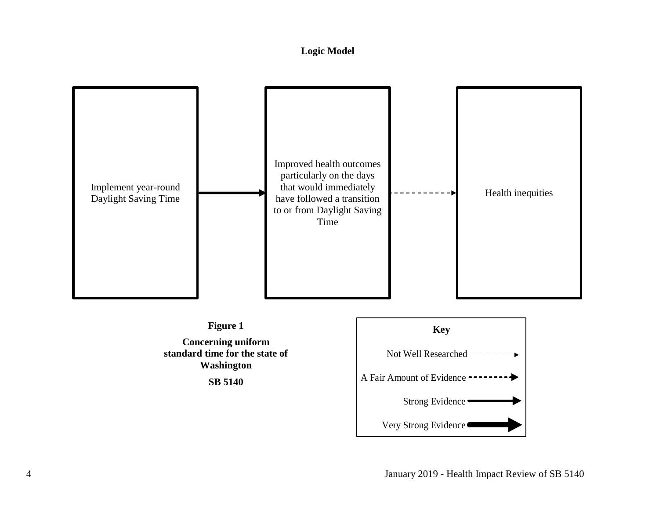## **Logic Model**

<span id="page-6-0"></span>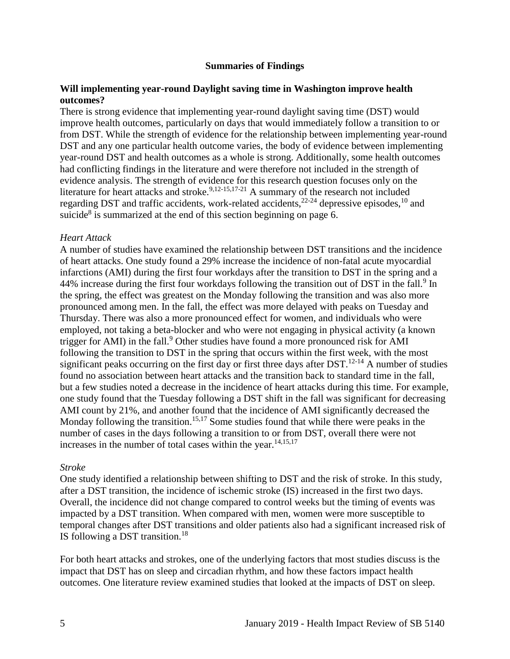#### **Summaries of Findings**

#### <span id="page-7-0"></span>**Will implementing year-round Daylight saving time in Washington improve health outcomes?**

There is strong evidence that implementing year-round daylight saving time (DST) would improve health outcomes, particularly on days that would immediately follow a transition to or from DST. While the strength of evidence for the relationship between implementing year-round DST and any one particular health outcome varies, the body of evidence between implementing year-round DST and health outcomes as a whole is strong. Additionally, some health outcomes had conflicting findings in the literature and were therefore not included in the strength of evidence analysis. The strength of evidence for this research question focuses only on the literature for heart attacks and stroke.<sup>[9,](#page-12-0)[12-15](#page-13-1)[,17-21](#page-15-1)</sup> A summary of the research not included regarding DST and traffic accidents, work-related accidents,<sup>22-24</sup> depressive episodes,<sup>10</sup> and suicide<sup>8</sup> is summarized at the end of this section beginning on page 6.

#### *Heart Attack*

A number of studies have examined the relationship between DST transitions and the incidence of heart attacks. One study found a 29% increase the incidence of non-fatal acute myocardial infarctions (AMI) during the first four workdays after the transition to DST in the spring and a 44% increase during the first four workdays following the transition out of DST in the fall.<sup>9</sup> In the spring, the effect was greatest on the Monday following the transition and was also more pronounced among men. In the fall, the effect was more delayed with peaks on Tuesday and Thursday. There was also a more pronounced effect for women, and individuals who were employed, not taking a beta-blocker and who were not engaging in physical activity (a known trigger for AMI) in the fall.<sup>9</sup> Other studies have found a more pronounced risk for AMI following the transition to DST in the spring that occurs within the first week, with the most significant peaks occurring on the first day or first three days after DST.<sup>12-14</sup> A number of studies found no association between heart attacks and the transition back to standard time in the fall, but a few studies noted a decrease in the incidence of heart attacks during this time. For example, one study found that the Tuesday following a DST shift in the fall was significant for decreasing AMI count by 21%, and another found that the incidence of AMI significantly decreased the Monday following the transition.<sup>[15,](#page-14-0)[17](#page-15-1)</sup> Some studies found that while there were peaks in the number of cases in the days following a transition to or from DST, overall there were not increases in the number of total cases within the year. $14,15,17$  $14,15,17$  $14,15,17$ 

#### *Stroke*

One study identified a relationship between shifting to DST and the risk of stroke. In this study, after a DST transition, the incidence of ischemic stroke (IS) increased in the first two days. Overall, the incidence did not change compared to control weeks but the timing of events was impacted by a DST transition. When compared with men, women were more susceptible to temporal changes after DST transitions and older patients also had a significant increased risk of IS following a DST transition.<sup>18</sup>

For both heart attacks and strokes, one of the underlying factors that most studies discuss is the impact that DST has on sleep and circadian rhythm, and how these factors impact health outcomes. One literature review examined studies that looked at the impacts of DST on sleep.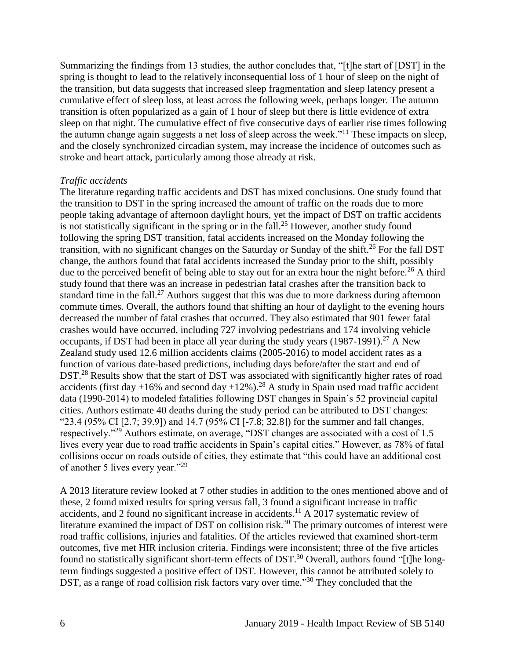Summarizing the findings from 13 studies, the author concludes that, "[t]he start of [DST] in the spring is thought to lead to the relatively inconsequential loss of 1 hour of sleep on the night of the transition, but data suggests that increased sleep fragmentation and sleep latency present a cumulative effect of sleep loss, at least across the following week, perhaps longer. The autumn transition is often popularized as a gain of 1 hour of sleep but there is little evidence of extra sleep on that night. The cumulative effect of five consecutive days of earlier rise times following the autumn change again suggests a net loss of sleep across the week."<sup>11</sup> These impacts on sleep, and the closely synchronized circadian system, may increase the incidence of outcomes such as stroke and heart attack, particularly among those already at risk.

#### *Traffic accidents*

The literature regarding traffic accidents and DST has mixed conclusions. One study found that the transition to DST in the spring increased the amount of traffic on the roads due to more people taking advantage of afternoon daylight hours, yet the impact of DST on traffic accidents is not statistically significant in the spring or in the fall.<sup>25</sup> However, another study found following the spring DST transition, fatal accidents increased on the Monday following the transition, with no significant changes on the Saturday or Sunday of the shift.<sup>26</sup> For the fall DST change, the authors found that fatal accidents increased the Sunday prior to the shift, possibly due to the perceived benefit of being able to stay out for an extra hour the night before.<sup>26</sup> A third study found that there was an increase in pedestrian fatal crashes after the transition back to standard time in the fall.<sup>27</sup> Authors suggest that this was due to more darkness during afternoon commute times. Overall, the authors found that shifting an hour of daylight to the evening hours decreased the number of fatal crashes that occurred. They also estimated that 901 fewer fatal crashes would have occurred, including 727 involving pedestrians and 174 involving vehicle occupants, if DST had been in place all year during the study years  $(1987-1991)$ <sup>27</sup> A New Zealand study used 12.6 million accidents claims (2005-2016) to model accident rates as a function of various date-based predictions, including days before/after the start and end of DST.<sup>28</sup> Results show that the start of DST was associated with significantly higher rates of road accidents (first day +16% and second day +12%).<sup>28</sup> A study in Spain used road traffic accident data (1990-2014) to modeled fatalities following DST changes in Spain's 52 provincial capital cities. Authors estimate 40 deaths during the study period can be attributed to DST changes: "23.4 (95% CI [2.7; 39.9]) and 14.7 (95% CI [-7.8; 32.8]) for the summer and fall changes, respectively."<sup>29</sup> Authors estimate, on average, "DST changes are associated with a cost of 1.5 lives every year due to road traffic accidents in Spain's capital cities." However, as 78% of fatal collisions occur on roads outside of cities, they estimate that "this could have an additional cost of another 5 lives every year."<sup>29</sup>

A 2013 literature review looked at 7 other studies in addition to the ones mentioned above and of these, 2 found mixed results for spring versus fall, 3 found a significant increase in traffic accidents, and 2 found no significant increase in accidents.<sup>11</sup> A 2017 systematic review of literature examined the impact of DST on collision risk.<sup>30</sup> The primary outcomes of interest were road traffic collisions, injuries and fatalities. Of the articles reviewed that examined short-term outcomes, five met HIR inclusion criteria. Findings were inconsistent; three of the five articles found no statistically significant short-term effects of DST.<sup>30</sup> Overall, authors found "[t]he longterm findings suggested a positive effect of DST. However, this cannot be attributed solely to DST, as a range of road collision risk factors vary over time."<sup>30</sup> They concluded that the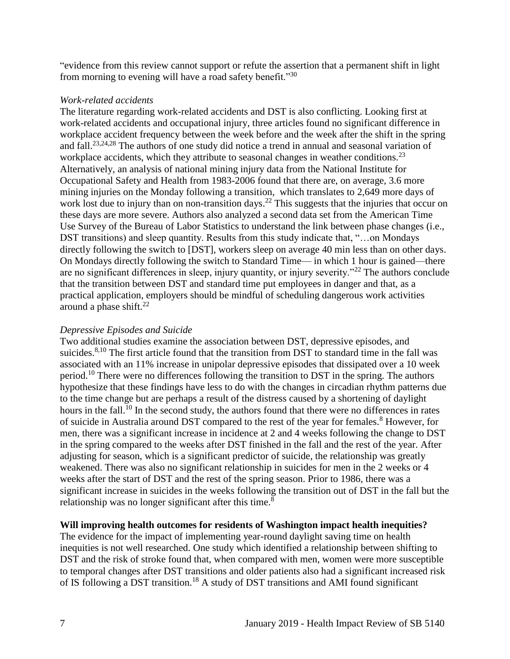"evidence from this review cannot support or refute the assertion that a permanent shift in light from morning to evening will have a road safety benefit."<sup>30</sup>

#### *Work-related accidents*

The literature regarding work-related accidents and DST is also conflicting. Looking first at work-related accidents and occupational injury, three articles found no significant difference in workplace accident frequency between the week before and the week after the shift in the spring and fall.[23,](#page-17-0)[24,](#page-17-1)[28](#page-18-0) The authors of one study did notice a trend in annual and seasonal variation of workplace accidents, which they attribute to seasonal changes in weather conditions.<sup>23</sup> Alternatively, an analysis of national mining injury data from the National Institute for Occupational Safety and Health from 1983-2006 found that there are, on average, 3.6 more mining injuries on the Monday following a transition, which translates to 2,649 more days of work lost due to injury than on non-transition days.<sup>22</sup> This suggests that the injuries that occur on these days are more severe. Authors also analyzed a second data set from the American Time Use Survey of the Bureau of Labor Statistics to understand the link between phase changes (i.e., DST transitions) and sleep quantity. Results from this study indicate that, "…on Mondays directly following the switch to [DST], workers sleep on average 40 min less than on other days. On Mondays directly following the switch to Standard Time— in which 1 hour is gained—there are no significant differences in sleep, injury quantity, or injury severity."<sup>22</sup> The authors conclude that the transition between DST and standard time put employees in danger and that, as a practical application, employers should be mindful of scheduling dangerous work activities around a phase shift. $^{22}$ 

## *Depressive Episodes and Suicide*

Two additional studies examine the association between DST, depressive episodes, and suicides.<sup>[8,](#page-12-1)[10](#page-12-2)</sup> The first article found that the transition from DST to standard time in the fall was associated with an 11% increase in unipolar depressive episodes that dissipated over a 10 week period.<sup>10</sup> There were no differences following the transition to DST in the spring. The authors hypothesize that these findings have less to do with the changes in circadian rhythm patterns due to the time change but are perhaps a result of the distress caused by a shortening of daylight hours in the fall.<sup>10</sup> In the second study, the authors found that there were no differences in rates of suicide in Australia around DST compared to the rest of the year for females.<sup>8</sup> However, for men, there was a significant increase in incidence at 2 and 4 weeks following the change to DST in the spring compared to the weeks after DST finished in the fall and the rest of the year. After adjusting for season, which is a significant predictor of suicide, the relationship was greatly weakened. There was also no significant relationship in suicides for men in the 2 weeks or 4 weeks after the start of DST and the rest of the spring season. Prior to 1986, there was a significant increase in suicides in the weeks following the transition out of DST in the fall but the relationship was no longer significant after this time.<sup>8</sup>

## **Will improving health outcomes for residents of Washington impact health inequities?**

The evidence for the impact of implementing year-round daylight saving time on health inequities is not well researched. One study which identified a relationship between shifting to DST and the risk of stroke found that, when compared with men, women were more susceptible to temporal changes after DST transitions and older patients also had a significant increased risk of IS following a DST transition.<sup>18</sup> A study of DST transitions and AMI found significant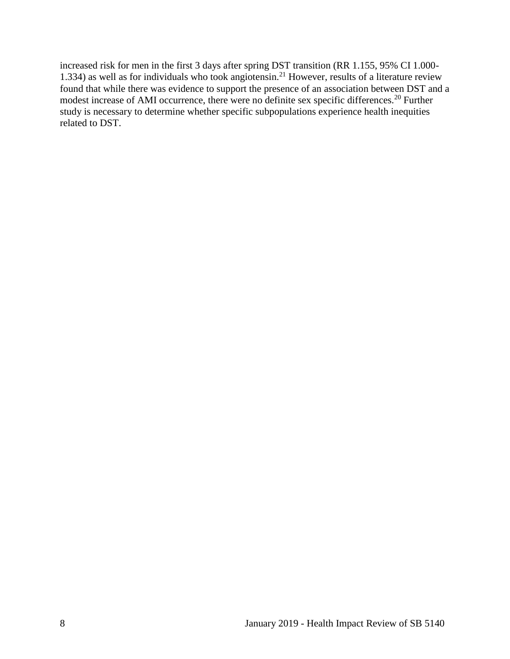increased risk for men in the first 3 days after spring DST transition (RR 1.155, 95% CI 1.000- 1.334) as well as for individuals who took angiotensin.<sup>21</sup> However, results of a literature review found that while there was evidence to support the presence of an association between DST and a modest increase of AMI occurrence, there were no definite sex specific differences.<sup>20</sup> Further study is necessary to determine whether specific subpopulations experience health inequities related to DST.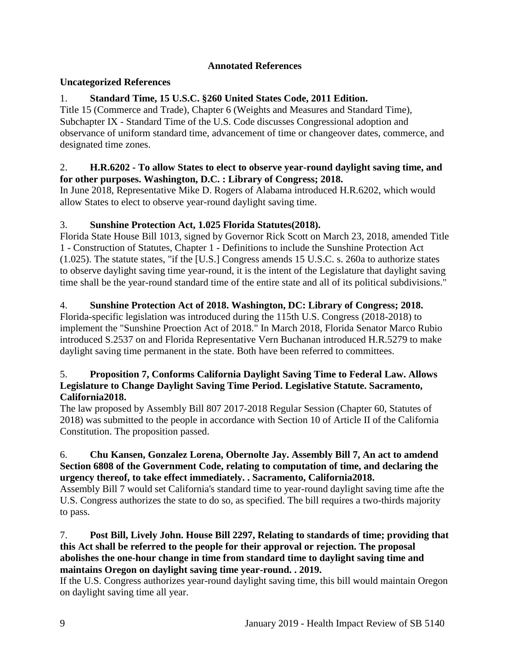# **Annotated References**

# <span id="page-11-0"></span>**Uncategorized References**

# 1. **Standard Time, 15 U.S.C. §260 United States Code, 2011 Edition.**

Title 15 (Commerce and Trade), Chapter 6 (Weights and Measures and Standard Time), Subchapter IX - Standard Time of the U.S. Code discusses Congressional adoption and observance of uniform standard time, advancement of time or changeover dates, commerce, and designated time zones.

## 2. **H.R.6202 - To allow States to elect to observe year-round daylight saving time, and for other purposes. Washington, D.C. : Library of Congress; 2018.**

In June 2018, Representative Mike D. Rogers of Alabama introduced H.R.6202, which would allow States to elect to observe year-round daylight saving time.

# 3. **Sunshine Protection Act, 1.025 Florida Statutes(2018).**

Florida State House Bill 1013, signed by Governor Rick Scott on March 23, 2018, amended Title 1 - Construction of Statutes, Chapter 1 - Definitions to include the Sunshine Protection Act (1.025). The statute states, "if the [U.S.] Congress amends 15 U.S.C. s. 260a to authorize states to observe daylight saving time year-round, it is the intent of the Legislature that daylight saving time shall be the year-round standard time of the entire state and all of its political subdivisions."

# 4. **Sunshine Protection Act of 2018. Washington, DC: Library of Congress; 2018.**

Florida-specific legislation was introduced during the 115th U.S. Congress (2018-2018) to implement the "Sunshine Proection Act of 2018." In March 2018, Florida Senator Marco Rubio introduced S.2537 on and Florida Representative Vern Buchanan introduced H.R.5279 to make daylight saving time permanent in the state. Both have been referred to committees.

## 5. **Proposition 7, Conforms California Daylight Saving Time to Federal Law. Allows Legislature to Change Daylight Saving Time Period. Legislative Statute. Sacramento, California2018.**

The law proposed by Assembly Bill 807 2017-2018 Regular Session (Chapter 60, Statutes of 2018) was submitted to the people in accordance with Section 10 of Article II of the California Constitution. The proposition passed.

#### 6. **Chu Kansen, Gonzalez Lorena, Obernolte Jay. Assembly Bill 7, An act to amdend Section 6808 of the Government Code, relating to computation of time, and declaring the urgency thereof, to take effect immediately. . Sacramento, California2018.**

Assembly Bill 7 would set California's standard time to year-round daylight saving time afte the U.S. Congress authorizes the state to do so, as specified. The bill requires a two-thirds majority to pass.

## 7. **Post Bill, Lively John. House Bill 2297, Relating to standards of time; providing that this Act shall be referred to the people for their approval or rejection. The proposal abolishes the one-hour change in time from standard time to daylight saving time and maintains Oregon on daylight saving time year-round. . 2019.**

If the U.S. Congress authorizes year-round daylight saving time, this bill would maintain Oregon on daylight saving time all year.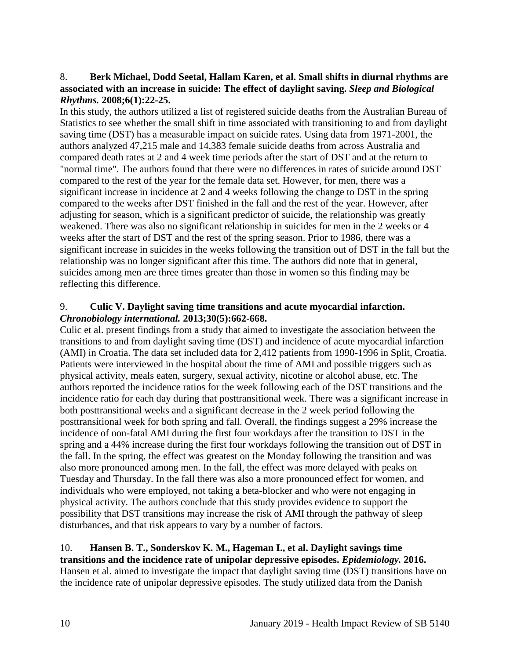## <span id="page-12-1"></span>8. **Berk Michael, Dodd Seetal, Hallam Karen, et al. Small shifts in diurnal rhythms are associated with an increase in suicide: The effect of daylight saving.** *Sleep and Biological Rhythms.* **2008;6(1):22-25.**

In this study, the authors utilized a list of registered suicide deaths from the Australian Bureau of Statistics to see whether the small shift in time associated with transitioning to and from daylight saving time (DST) has a measurable impact on suicide rates. Using data from 1971-2001, the authors analyzed 47,215 male and 14,383 female suicide deaths from across Australia and compared death rates at 2 and 4 week time periods after the start of DST and at the return to "normal time". The authors found that there were no differences in rates of suicide around DST compared to the rest of the year for the female data set. However, for men, there was a significant increase in incidence at 2 and 4 weeks following the change to DST in the spring compared to the weeks after DST finished in the fall and the rest of the year. However, after adjusting for season, which is a significant predictor of suicide, the relationship was greatly weakened. There was also no significant relationship in suicides for men in the 2 weeks or 4 weeks after the start of DST and the rest of the spring season. Prior to 1986, there was a significant increase in suicides in the weeks following the transition out of DST in the fall but the relationship was no longer significant after this time. The authors did note that in general, suicides among men are three times greater than those in women so this finding may be reflecting this difference.

#### <span id="page-12-0"></span>9. **Culic V. Daylight saving time transitions and acute myocardial infarction.**  *Chronobiology international.* **2013;30(5):662-668.**

Culic et al. present findings from a study that aimed to investigate the association between the transitions to and from daylight saving time (DST) and incidence of acute myocardial infarction (AMI) in Croatia. The data set included data for 2,412 patients from 1990-1996 in Split, Croatia. Patients were interviewed in the hospital about the time of AMI and possible triggers such as physical activity, meals eaten, surgery, sexual activity, nicotine or alcohol abuse, etc. The authors reported the incidence ratios for the week following each of the DST transitions and the incidence ratio for each day during that posttransitional week. There was a significant increase in both posttransitional weeks and a significant decrease in the 2 week period following the posttransitional week for both spring and fall. Overall, the findings suggest a 29% increase the incidence of non-fatal AMI during the first four workdays after the transition to DST in the spring and a 44% increase during the first four workdays following the transition out of DST in the fall. In the spring, the effect was greatest on the Monday following the transition and was also more pronounced among men. In the fall, the effect was more delayed with peaks on Tuesday and Thursday. In the fall there was also a more pronounced effect for women, and individuals who were employed, not taking a beta-blocker and who were not engaging in physical activity. The authors conclude that this study provides evidence to support the possibility that DST transitions may increase the risk of AMI through the pathway of sleep disturbances, and that risk appears to vary by a number of factors.

#### <span id="page-12-2"></span>10. **Hansen B. T., Sonderskov K. M., Hageman I., et al. Daylight savings time transitions and the incidence rate of unipolar depressive episodes.** *Epidemiology.* **2016.** Hansen et al. aimed to investigate the impact that daylight saving time (DST) transitions have on the incidence rate of unipolar depressive episodes. The study utilized data from the Danish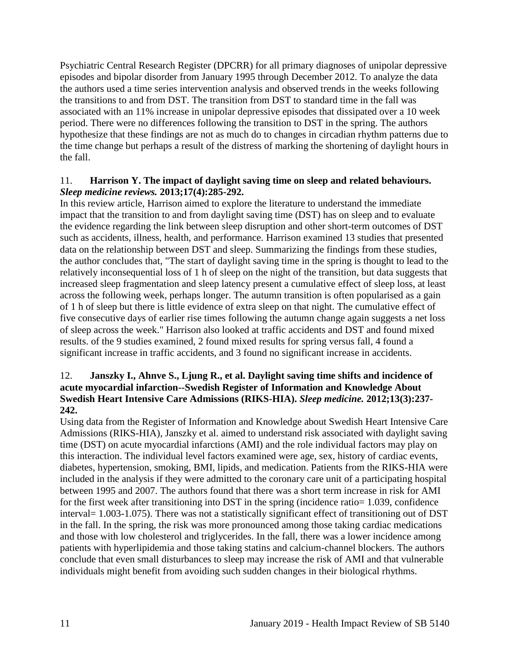Psychiatric Central Research Register (DPCRR) for all primary diagnoses of unipolar depressive episodes and bipolar disorder from January 1995 through December 2012. To analyze the data the authors used a time series intervention analysis and observed trends in the weeks following the transitions to and from DST. The transition from DST to standard time in the fall was associated with an 11% increase in unipolar depressive episodes that dissipated over a 10 week period. There were no differences following the transition to DST in the spring. The authors hypothesize that these findings are not as much do to changes in circadian rhythm patterns due to the time change but perhaps a result of the distress of marking the shortening of daylight hours in the fall.

## <span id="page-13-0"></span>11. **Harrison Y. The impact of daylight saving time on sleep and related behaviours.**  *Sleep medicine reviews.* **2013;17(4):285-292.**

In this review article, Harrison aimed to explore the literature to understand the immediate impact that the transition to and from daylight saving time (DST) has on sleep and to evaluate the evidence regarding the link between sleep disruption and other short-term outcomes of DST such as accidents, illness, health, and performance. Harrison examined 13 studies that presented data on the relationship between DST and sleep. Summarizing the findings from these studies, the author concludes that, "The start of daylight saving time in the spring is thought to lead to the relatively inconsequential loss of 1 h of sleep on the night of the transition, but data suggests that increased sleep fragmentation and sleep latency present a cumulative effect of sleep loss, at least across the following week, perhaps longer. The autumn transition is often popularised as a gain of 1 h of sleep but there is little evidence of extra sleep on that night. The cumulative effect of five consecutive days of earlier rise times following the autumn change again suggests a net loss of sleep across the week." Harrison also looked at traffic accidents and DST and found mixed results. of the 9 studies examined, 2 found mixed results for spring versus fall, 4 found a significant increase in traffic accidents, and 3 found no significant increase in accidents.

## <span id="page-13-1"></span>12. **Janszky I., Ahnve S., Ljung R., et al. Daylight saving time shifts and incidence of acute myocardial infarction--Swedish Register of Information and Knowledge About Swedish Heart Intensive Care Admissions (RIKS-HIA).** *Sleep medicine.* **2012;13(3):237- 242.**

Using data from the Register of Information and Knowledge about Swedish Heart Intensive Care Admissions (RIKS-HIA), Janszky et al. aimed to understand risk associated with daylight saving time (DST) on acute myocardial infarctions (AMI) and the role individual factors may play on this interaction. The individual level factors examined were age, sex, history of cardiac events, diabetes, hypertension, smoking, BMI, lipids, and medication. Patients from the RIKS-HIA were included in the analysis if they were admitted to the coronary care unit of a participating hospital between 1995 and 2007. The authors found that there was a short term increase in risk for AMI for the first week after transitioning into DST in the spring (incidence ratio= 1.039, confidence interval= 1.003-1.075). There was not a statistically significant effect of transitioning out of DST in the fall. In the spring, the risk was more pronounced among those taking cardiac medications and those with low cholesterol and triglycerides. In the fall, there was a lower incidence among patients with hyperlipidemia and those taking statins and calcium-channel blockers. The authors conclude that even small disturbances to sleep may increase the risk of AMI and that vulnerable individuals might benefit from avoiding such sudden changes in their biological rhythms.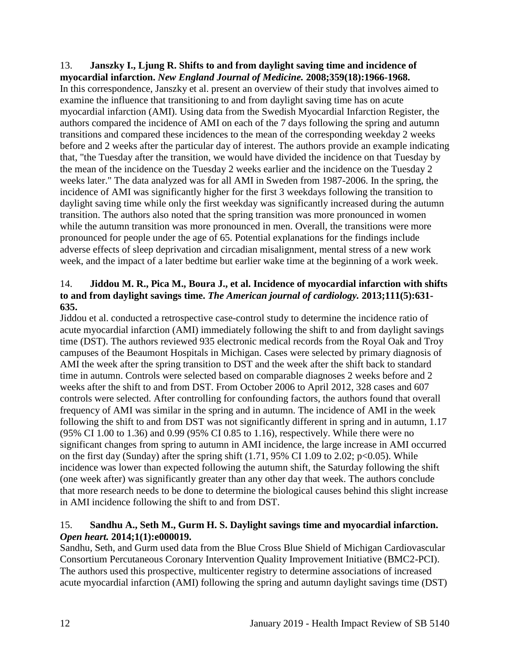#### 13. **Janszky I., Ljung R. Shifts to and from daylight saving time and incidence of myocardial infarction.** *New England Journal of Medicine.* **2008;359(18):1966-1968.**

In this correspondence, Janszky et al. present an overview of their study that involves aimed to examine the influence that transitioning to and from daylight saving time has on acute myocardial infarction (AMI). Using data from the Swedish Myocardial Infarction Register, the authors compared the incidence of AMI on each of the 7 days following the spring and autumn transitions and compared these incidences to the mean of the corresponding weekday 2 weeks before and 2 weeks after the particular day of interest. The authors provide an example indicating that, "the Tuesday after the transition, we would have divided the incidence on that Tuesday by the mean of the incidence on the Tuesday 2 weeks earlier and the incidence on the Tuesday 2 weeks later." The data analyzed was for all AMI in Sweden from 1987-2006. In the spring, the incidence of AMI was significantly higher for the first 3 weekdays following the transition to daylight saving time while only the first weekday was significantly increased during the autumn transition. The authors also noted that the spring transition was more pronounced in women while the autumn transition was more pronounced in men. Overall, the transitions were more pronounced for people under the age of 65. Potential explanations for the findings include adverse effects of sleep deprivation and circadian misalignment, mental stress of a new work week, and the impact of a later bedtime but earlier wake time at the beginning of a work week.

# <span id="page-14-1"></span>14. **Jiddou M. R., Pica M., Boura J., et al. Incidence of myocardial infarction with shifts to and from daylight savings time.** *The American journal of cardiology.* **2013;111(5):631- 635.**

Jiddou et al. conducted a retrospective case-control study to determine the incidence ratio of acute myocardial infarction (AMI) immediately following the shift to and from daylight savings time (DST). The authors reviewed 935 electronic medical records from the Royal Oak and Troy campuses of the Beaumont Hospitals in Michigan. Cases were selected by primary diagnosis of AMI the week after the spring transition to DST and the week after the shift back to standard time in autumn. Controls were selected based on comparable diagnoses 2 weeks before and 2 weeks after the shift to and from DST. From October 2006 to April 2012, 328 cases and 607 controls were selected. After controlling for confounding factors, the authors found that overall frequency of AMI was similar in the spring and in autumn. The incidence of AMI in the week following the shift to and from DST was not significantly different in spring and in autumn, 1.17 (95% CI 1.00 to 1.36) and 0.99 (95% CI 0.85 to 1.16), respectively. While there were no significant changes from spring to autumn in AMI incidence, the large increase in AMI occurred on the first day (Sunday) after the spring shift  $(1.71, 95\% \text{ CI } 1.09 \text{ to } 2.02; \text{ p} < 0.05)$ . While incidence was lower than expected following the autumn shift, the Saturday following the shift (one week after) was significantly greater than any other day that week. The authors conclude that more research needs to be done to determine the biological causes behind this slight increase in AMI incidence following the shift to and from DST.

# <span id="page-14-0"></span>15. **Sandhu A., Seth M., Gurm H. S. Daylight savings time and myocardial infarction.**  *Open heart.* **2014;1(1):e000019.**

Sandhu, Seth, and Gurm used data from the Blue Cross Blue Shield of Michigan Cardiovascular Consortium Percutaneous Coronary Intervention Quality Improvement Initiative (BMC2-PCI). The authors used this prospective, multicenter registry to determine associations of increased acute myocardial infarction (AMI) following the spring and autumn daylight savings time (DST)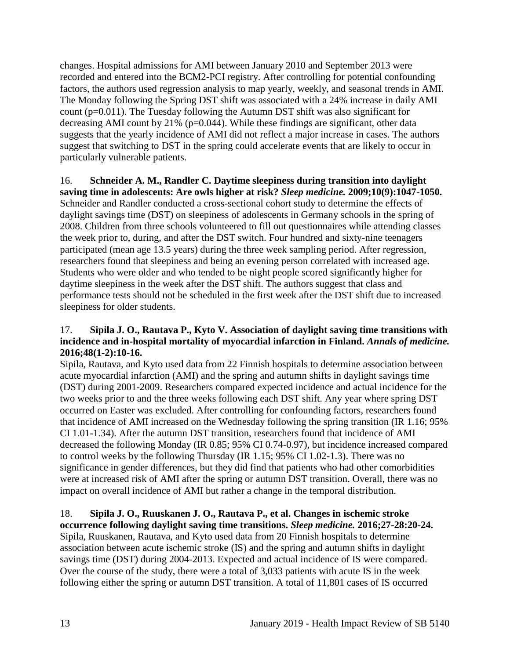changes. Hospital admissions for AMI between January 2010 and September 2013 were recorded and entered into the BCM2-PCI registry. After controlling for potential confounding factors, the authors used regression analysis to map yearly, weekly, and seasonal trends in AMI. The Monday following the Spring DST shift was associated with a 24% increase in daily AMI count (p=0.011). The Tuesday following the Autumn DST shift was also significant for decreasing AMI count by 21% (p=0.044). While these findings are significant, other data suggests that the yearly incidence of AMI did not reflect a major increase in cases. The authors suggest that switching to DST in the spring could accelerate events that are likely to occur in particularly vulnerable patients.

## <span id="page-15-0"></span>16. **Schneider A. M., Randler C. Daytime sleepiness during transition into daylight saving time in adolescents: Are owls higher at risk?** *Sleep medicine.* **2009;10(9):1047-1050.** Schneider and Randler conducted a cross-sectional cohort study to determine the effects of daylight savings time (DST) on sleepiness of adolescents in Germany schools in the spring of 2008. Children from three schools volunteered to fill out questionnaires while attending classes the week prior to, during, and after the DST switch. Four hundred and sixty-nine teenagers participated (mean age 13.5 years) during the three week sampling period. After regression, researchers found that sleepiness and being an evening person correlated with increased age. Students who were older and who tended to be night people scored significantly higher for daytime sleepiness in the week after the DST shift. The authors suggest that class and performance tests should not be scheduled in the first week after the DST shift due to increased sleepiness for older students.

## <span id="page-15-1"></span>17. **Sipila J. O., Rautava P., Kyto V. Association of daylight saving time transitions with incidence and in-hospital mortality of myocardial infarction in Finland.** *Annals of medicine.*  **2016;48(1-2):10-16.**

Sipila, Rautava, and Kyto used data from 22 Finnish hospitals to determine association between acute myocardial infarction (AMI) and the spring and autumn shifts in daylight savings time (DST) during 2001-2009. Researchers compared expected incidence and actual incidence for the two weeks prior to and the three weeks following each DST shift. Any year where spring DST occurred on Easter was excluded. After controlling for confounding factors, researchers found that incidence of AMI increased on the Wednesday following the spring transition (IR 1.16; 95% CI 1.01-1.34). After the autumn DST transition, researchers found that incidence of AMI decreased the following Monday (IR 0.85; 95% CI 0.74-0.97), but incidence increased compared to control weeks by the following Thursday (IR 1.15; 95% CI 1.02-1.3). There was no significance in gender differences, but they did find that patients who had other comorbidities were at increased risk of AMI after the spring or autumn DST transition. Overall, there was no impact on overall incidence of AMI but rather a change in the temporal distribution.

# 18. **Sipila J. O., Ruuskanen J. O., Rautava P., et al. Changes in ischemic stroke**

**occurrence following daylight saving time transitions.** *Sleep medicine.* **2016;27-28:20-24.** Sipila, Ruuskanen, Rautava, and Kyto used data from 20 Finnish hospitals to determine association between acute ischemic stroke (IS) and the spring and autumn shifts in daylight savings time (DST) during 2004-2013. Expected and actual incidence of IS were compared. Over the course of the study, there were a total of 3,033 patients with acute IS in the week following either the spring or autumn DST transition. A total of 11,801 cases of IS occurred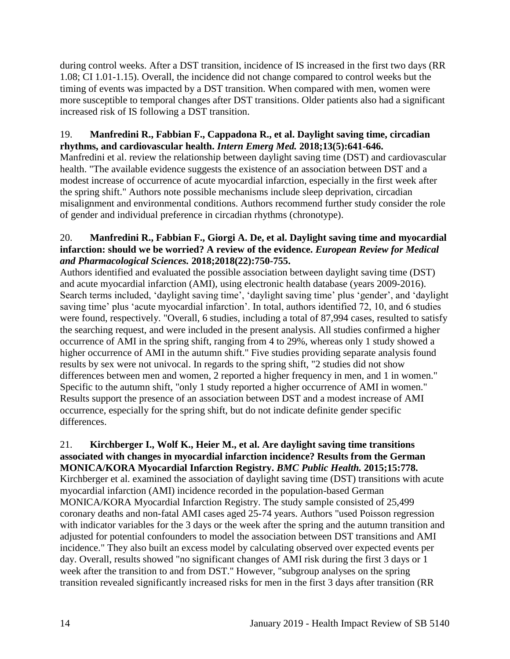during control weeks. After a DST transition, incidence of IS increased in the first two days (RR 1.08; CI 1.01-1.15). Overall, the incidence did not change compared to control weeks but the timing of events was impacted by a DST transition. When compared with men, women were more susceptible to temporal changes after DST transitions. Older patients also had a significant increased risk of IS following a DST transition.

# 19. **Manfredini R., Fabbian F., Cappadona R., et al. Daylight saving time, circadian rhythms, and cardiovascular health.** *Intern Emerg Med.* **2018;13(5):641-646.**

Manfredini et al. review the relationship between daylight saving time (DST) and cardiovascular health. "The available evidence suggests the existence of an association between DST and a modest increase of occurrence of acute myocardial infarction, especially in the first week after the spring shift." Authors note possible mechanisms include sleep deprivation, circadian misalignment and environmental conditions. Authors recommend further study consider the role of gender and individual preference in circadian rhythms (chronotype).

# 20. **Manfredini R., Fabbian F., Giorgi A. De, et al. Daylight saving time and myocardial infarction: should we be worried? A review of the evidence.** *European Review for Medical and Pharmacological Sciences.* **2018;2018(22):750-755.**

Authors identified and evaluated the possible association between daylight saving time (DST) and acute myocardial infarction (AMI), using electronic health database (years 2009-2016). Search terms included, 'daylight saving time', 'daylight saving time' plus 'gender', and 'daylight saving time' plus 'acute myocardial infarction'. In total, authors identified 72, 10, and 6 studies were found, respectively. "Overall, 6 studies, including a total of 87,994 cases, resulted to satisfy the searching request, and were included in the present analysis. All studies confirmed a higher occurrence of AMI in the spring shift, ranging from 4 to 29%, whereas only 1 study showed a higher occurrence of AMI in the autumn shift." Five studies providing separate analysis found results by sex were not univocal. In regards to the spring shift, "2 studies did not show differences between men and women, 2 reported a higher frequency in men, and 1 in women." Specific to the autumn shift, "only 1 study reported a higher occurrence of AMI in women." Results support the presence of an association between DST and a modest increase of AMI occurrence, especially for the spring shift, but do not indicate definite gender specific differences.

#### 21. **Kirchberger I., Wolf K., Heier M., et al. Are daylight saving time transitions associated with changes in myocardial infarction incidence? Results from the German MONICA/KORA Myocardial Infarction Registry.** *BMC Public Health.* **2015;15:778.**

Kirchberger et al. examined the association of daylight saving time (DST) transitions with acute myocardial infarction (AMI) incidence recorded in the population-based German MONICA/KORA Myocardial Infarction Registry. The study sample consisted of 25,499 coronary deaths and non-fatal AMI cases aged 25-74 years. Authors "used Poisson regression with indicator variables for the 3 days or the week after the spring and the autumn transition and adjusted for potential confounders to model the association between DST transitions and AMI incidence." They also built an excess model by calculating observed over expected events per day. Overall, results showed "no significant changes of AMI risk during the first 3 days or 1 week after the transition to and from DST." However, "subgroup analyses on the spring transition revealed significantly increased risks for men in the first 3 days after transition (RR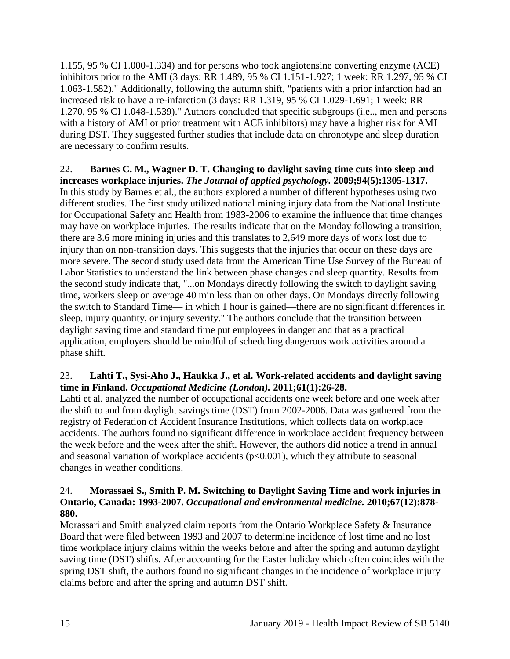1.155, 95 % CI 1.000-1.334) and for persons who took angiotensine converting enzyme (ACE) inhibitors prior to the AMI (3 days: RR 1.489, 95 % CI 1.151-1.927; 1 week: RR 1.297, 95 % CI 1.063-1.582)." Additionally, following the autumn shift, "patients with a prior infarction had an increased risk to have a re-infarction (3 days: RR 1.319, 95 % CI 1.029-1.691; 1 week: RR 1.270, 95 % CI 1.048-1.539)." Authors concluded that specific subgroups (i.e.., men and persons with a history of AMI or prior treatment with ACE inhibitors) may have a higher risk for AMI during DST. They suggested further studies that include data on chronotype and sleep duration are necessary to confirm results.

22. **Barnes C. M., Wagner D. T. Changing to daylight saving time cuts into sleep and increases workplace injuries.** *The Journal of applied psychology.* **2009;94(5):1305-1317.** In this study by Barnes et al., the authors explored a number of different hypotheses using two different studies. The first study utilized national mining injury data from the National Institute for Occupational Safety and Health from 1983-2006 to examine the influence that time changes may have on workplace injuries. The results indicate that on the Monday following a transition, there are 3.6 more mining injuries and this translates to 2,649 more days of work lost due to injury than on non-transition days. This suggests that the injuries that occur on these days are more severe. The second study used data from the American Time Use Survey of the Bureau of Labor Statistics to understand the link between phase changes and sleep quantity. Results from the second study indicate that, "...on Mondays directly following the switch to daylight saving time, workers sleep on average 40 min less than on other days. On Mondays directly following the switch to Standard Time— in which 1 hour is gained—there are no significant differences in sleep, injury quantity, or injury severity." The authors conclude that the transition between daylight saving time and standard time put employees in danger and that as a practical application, employers should be mindful of scheduling dangerous work activities around a phase shift.

# <span id="page-17-0"></span>23. **Lahti T., Sysi-Aho J., Haukka J., et al. Work-related accidents and daylight saving time in Finland.** *Occupational Medicine (London).* **2011;61(1):26-28.**

Lahti et al. analyzed the number of occupational accidents one week before and one week after the shift to and from daylight savings time (DST) from 2002-2006. Data was gathered from the registry of Federation of Accident Insurance Institutions, which collects data on workplace accidents. The authors found no significant difference in workplace accident frequency between the week before and the week after the shift. However, the authors did notice a trend in annual and seasonal variation of workplace accidents  $(p<0.001)$ , which they attribute to seasonal changes in weather conditions.

# <span id="page-17-1"></span>24. **Morassaei S., Smith P. M. Switching to Daylight Saving Time and work injuries in Ontario, Canada: 1993-2007.** *Occupational and environmental medicine.* **2010;67(12):878- 880.**

Morassari and Smith analyzed claim reports from the Ontario Workplace Safety & Insurance Board that were filed between 1993 and 2007 to determine incidence of lost time and no lost time workplace injury claims within the weeks before and after the spring and autumn daylight saving time (DST) shifts. After accounting for the Easter holiday which often coincides with the spring DST shift, the authors found no significant changes in the incidence of workplace injury claims before and after the spring and autumn DST shift.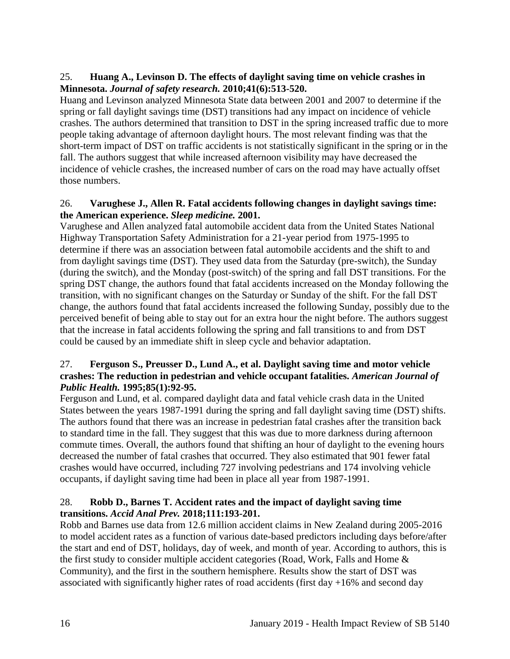# 25. **Huang A., Levinson D. The effects of daylight saving time on vehicle crashes in Minnesota.** *Journal of safety research.* **2010;41(6):513-520.**

Huang and Levinson analyzed Minnesota State data between 2001 and 2007 to determine if the spring or fall daylight savings time (DST) transitions had any impact on incidence of vehicle crashes. The authors determined that transition to DST in the spring increased traffic due to more people taking advantage of afternoon daylight hours. The most relevant finding was that the short-term impact of DST on traffic accidents is not statistically significant in the spring or in the fall. The authors suggest that while increased afternoon visibility may have decreased the incidence of vehicle crashes, the increased number of cars on the road may have actually offset those numbers.

## 26. **Varughese J., Allen R. Fatal accidents following changes in daylight savings time: the American experience.** *Sleep medicine.* **2001.**

Varughese and Allen analyzed fatal automobile accident data from the United States National Highway Transportation Safety Administration for a 21-year period from 1975-1995 to determine if there was an association between fatal automobile accidents and the shift to and from daylight savings time (DST). They used data from the Saturday (pre-switch), the Sunday (during the switch), and the Monday (post-switch) of the spring and fall DST transitions. For the spring DST change, the authors found that fatal accidents increased on the Monday following the transition, with no significant changes on the Saturday or Sunday of the shift. For the fall DST change, the authors found that fatal accidents increased the following Sunday, possibly due to the perceived benefit of being able to stay out for an extra hour the night before. The authors suggest that the increase in fatal accidents following the spring and fall transitions to and from DST could be caused by an immediate shift in sleep cycle and behavior adaptation.

## 27. **Ferguson S., Preusser D., Lund A., et al. Daylight saving time and motor vehicle crashes: The reduction in pedestrian and vehicle occupant fatalities.** *American Journal of Public Health.* **1995;85(1):92-95.**

Ferguson and Lund, et al. compared daylight data and fatal vehicle crash data in the United States between the years 1987-1991 during the spring and fall daylight saving time (DST) shifts. The authors found that there was an increase in pedestrian fatal crashes after the transition back to standard time in the fall. They suggest that this was due to more darkness during afternoon commute times. Overall, the authors found that shifting an hour of daylight to the evening hours decreased the number of fatal crashes that occurred. They also estimated that 901 fewer fatal crashes would have occurred, including 727 involving pedestrians and 174 involving vehicle occupants, if daylight saving time had been in place all year from 1987-1991.

# <span id="page-18-0"></span>28. **Robb D., Barnes T. Accident rates and the impact of daylight saving time transitions.** *Accid Anal Prev.* **2018;111:193-201.**

Robb and Barnes use data from 12.6 million accident claims in New Zealand during 2005-2016 to model accident rates as a function of various date-based predictors including days before/after the start and end of DST, holidays, day of week, and month of year. According to authors, this is the first study to consider multiple accident categories (Road, Work, Falls and Home & Community), and the first in the southern hemisphere. Results show the start of DST was associated with significantly higher rates of road accidents (first day  $+16\%$  and second day